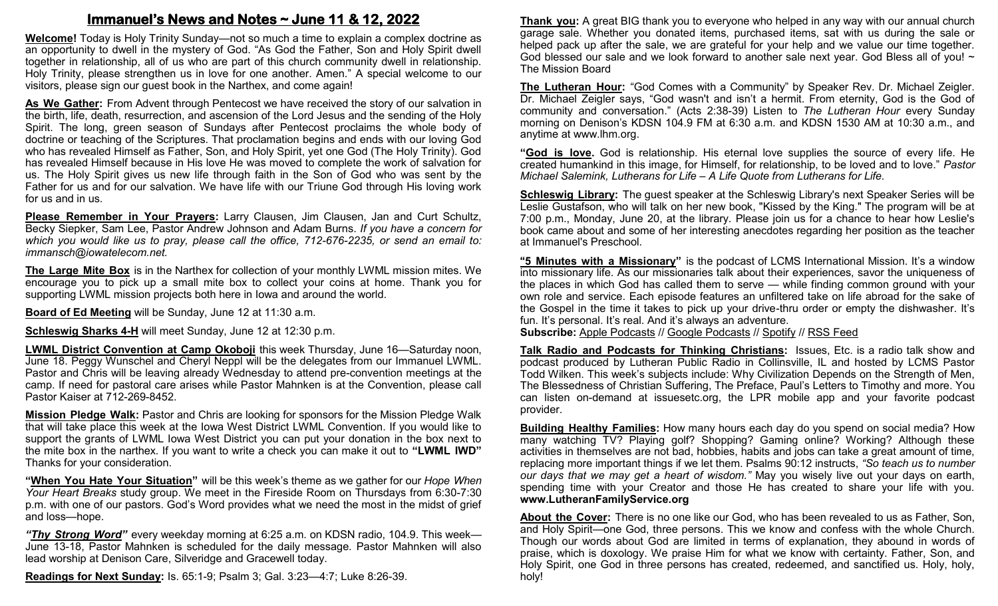# **Immanuel's News and Notes ~ June 11 & 12, 2022**

**Welcome!** Today is Holy Trinity Sunday—not so much a time to explain a complex doctrine as an opportunity to dwell in the mystery of God. "As God the Father, Son and Holy Spirit dwell together in relationship, all of us who are part of this church community dwell in relationship. Holy Trinity, please strengthen us in love for one another. Amen." A special welcome to our visitors, please sign our guest book in the Narthex, and come again!

**As We Gather:** From Advent through Pentecost we have received the story of our salvation in the birth, life, death, resurrection, and ascension of the Lord Jesus and the sending of the Holy Spirit. The long, green season of Sundays after Pentecost proclaims the whole body of doctrine or teaching of the Scriptures. That proclamation begins and ends with our loving God who has revealed Himself as Father, Son, and Holy Spirit, yet one God (The Holy Trinity). God has revealed Himself because in His love He was moved to complete the work of salvation for us. The Holy Spirit gives us new life through faith in the Son of God who was sent by the Father for us and for our salvation. We have life with our Triune God through His loving work for us and in us.

**Please Remember in Your Prayers:** Larry Clausen, Jim Clausen, Jan and Curt Schultz, Becky Siepker, Sam Lee, Pastor Andrew Johnson and Adam Burns. *If you have a concern for which you would like us to pray, please call the office, 712-676-2235, or send an email to: immansch@iowatelecom.net.*

**The Large Mite Box** is in the Narthex for collection of your monthly LWML mission mites. We encourage you to pick up a small mite box to collect your coins at home. Thank you for supporting LWML mission projects both here in Iowa and around the world.

**Board of Ed Meeting** will be Sunday, June 12 at 11:30 a.m.

**Schleswig Sharks 4-H** will meet Sunday, June 12 at 12:30 p.m.

**LWML District Convention at Camp Okoboji** this week Thursday, June 16—Saturday noon, June 18. Peggy Wunschel and Cheryl Neppl will be the delegates from our Immanuel LWML. Pastor and Chris will be leaving already Wednesday to attend pre-convention meetings at the camp. If need for pastoral care arises while Pastor Mahnken is at the Convention, please call Pastor Kaiser at 712-269-8452.

**Mission Pledge Walk:** Pastor and Chris are looking for sponsors for the Mission Pledge Walk that will take place this week at the Iowa West District LWML Convention. If you would like to support the grants of LWML Iowa West District you can put your donation in the box next to the mite box in the narthex. If you want to write a check you can make it out to **"LWML IWD"**  Thanks for your consideration.

**"When You Hate Your Situation"** will be this week's theme as we gather for our *Hope When Your Heart Breaks* study group. We meet in the Fireside Room on Thursdays from 6:30-7:30 p.m. with one of our pastors. God's Word provides what we need the most in the midst of grief and loss—hope.

*"Thy Strong Word"* every weekday morning at 6:25 a.m. on KDSN radio, 104.9. This week— June 13-18, Pastor Mahnken is scheduled for the daily message. Pastor Mahnken will also lead worship at Denison Care, Silveridge and Gracewell today.

**Readings for Next Sunday:** Is. 65:1-9; Psalm 3; Gal. 3:23—4:7; Luke 8:26-39.

**Thank you:** A great BIG thank you to everyone who helped in any way with our annual church garage sale. Whether you donated items, purchased items, sat with us during the sale or helped pack up after the sale, we are grateful for your help and we value our time together. God blessed our sale and we look forward to another sale next year. God Bless all of you! ~ The Mission Board

**The Lutheran Hour:** "God Comes with a Community" by Speaker Rev. Dr. Michael Zeigler. Dr. Michael Zeigler says, "God wasn't and isn't a hermit. From eternity, God is the God of community and conversation." (Acts 2:38-39) Listen to *The Lutheran Hour* every Sunday morning on Denison's KDSN 104.9 FM at 6:30 a.m. and KDSN 1530 AM at 10:30 a.m., and anytime at www.lhm.org.

**"God is love.** God is relationship. His eternal love supplies the source of every life. He created humankind in this image, for Himself, for relationship, to be loved and to love." *Pastor Michael Salemink, Lutherans for Life – A Life Quote from Lutherans for Life.*

**Schleswig Library:** The guest speaker at the Schleswig Library's next Speaker Series will be Leslie Gustafson, who will talk on her new book, "Kissed by the King." The program will be at 7:00 p.m., Monday, June 20, at the library. Please join us for a chance to hear how Leslie's book came about and some of her interesting anecdotes regarding her position as the teacher at Immanuel's Preschool.

**"5 Minutes with a Missionary"** is the podcast of LCMS International Mission. It's a window into missionary life. As our missionaries talk about their experiences, savor the uniqueness of the places in which God has called them to serve — while finding common ground with your own role and service. Each episode features an unfiltered take on life abroad for the sake of the Gospel in the time it takes to pick up your drive-thru order or empty the dishwasher. It's fun. It's personal. It's real. And it's always an adventure.

**Subscribe:** [Apple Podcasts](https://podcasts.apple.com/us/podcast/5-minutes-with-a-missionary-%E2%80%94-lcms-international-mission/id1616239680) // [Google Podcasts](https://podcasts.google.com/feed/aHR0cHM6Ly9rZnVvLXJzcy5zdHJlYW1ndXlzMS5jb20vNS1NaW51dGVzLXdpdGgtYS1NaXNzaW9uYXJ5LzUtbWludXRlcy13aXRoLWEtbWlzc2lvbmFyeS1nb29nbGUtcG9kY2FzdHMueG1s) // [Spotify](https://open.spotify.com/show/2yCtaUIl59HXY5kGdk2TJ0) // [RSS Feed](https://kfuo-rss.streamguys1.com/kfuo/5-minutes-with-a-missionary.xml)

**Talk Radio and Podcasts for Thinking Christians:** Issues, Etc. is a radio talk show and podcast produced by Lutheran Public Radio in Collinsville, IL and hosted by LCMS Pastor Todd Wilken. This week's subjects include: Why Civilization Depends on the Strength of Men, The Blessedness of Christian Suffering, The Preface, Paul's Letters to Timothy and more. You can listen on-demand at issuesetc.org, the LPR mobile app and your favorite podcast provider.

**Building Healthy Families:** How many hours each day do you spend on social media? How many watching TV? Playing golf? Shopping? Gaming online? Working? Although these activities in themselves are not bad, hobbies, habits and jobs can take a great amount of time, replacing more important things if we let them. Psalms 90:12 instructs, *"So teach us to number our days that we may get a heart of wisdom."* May you wisely live out your days on earth, spending time with your Creator and those He has created to share your life with you. **www.LutheranFamilyService.org**

**About the Cover:** There is no one like our God, who has been revealed to us as Father, Son, and Holy Spirit—one God, three persons. This we know and confess with the whole Church. Though our words about God are limited in terms of explanation, they abound in words of praise, which is doxology. We praise Him for what we know with certainty. Father, Son, and Holy Spirit, one God in three persons has created, redeemed, and sanctified us. Holy, holy, holy!